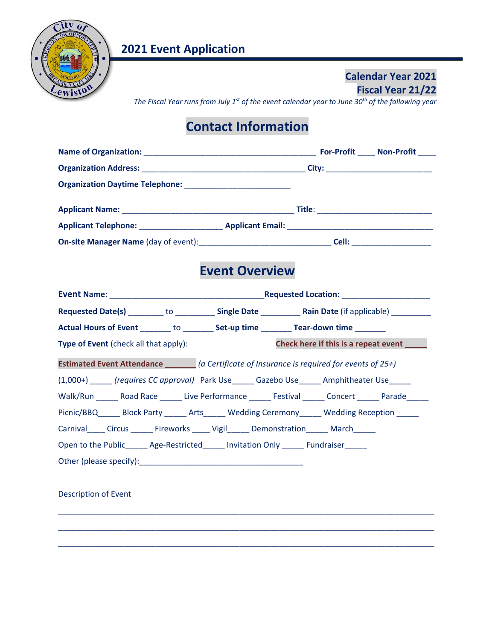

### **Calendar Year 2021 Fiscal Year 21/22**

*The Fiscal Year runs from July 1st of the event calendar year to June 30th of the following year* 

## **Contact Information**

|  |       | For-Profit Non-Profit |
|--|-------|-----------------------|
|  |       |                       |
|  |       |                       |
|  |       |                       |
|  |       |                       |
|  | Cell: |                       |

## **Event Overview**

| Requested Date(s) _________ to _____________ Single Date _____________ Rain Date (if applicable) __________                                                                                                                           |  |                                      |  |
|---------------------------------------------------------------------------------------------------------------------------------------------------------------------------------------------------------------------------------------|--|--------------------------------------|--|
| <b>Actual Hours of Event</b> to <b>Set-up time CONFIDENTIAL TEAM CONFIDENTIAL CONFIDENTIAL CONFIDENTIAL CONFIDENTIAL CONFIDENTIAL CONFIDENTIAL CONFIDENTIAL CONFIDENTIAL CONFIDENTIAL CONFIDENTIAL CONFIDENTIAL CONFIDENTIAL CONF</b> |  |                                      |  |
| Type of Event (check all that apply):                                                                                                                                                                                                 |  | Check here if this is a repeat event |  |
|                                                                                                                                                                                                                                       |  |                                      |  |
| (1,000+) (requires CC approval) Park Use Gazebo Use Amphitheater Use                                                                                                                                                                  |  |                                      |  |
| Walk/Run Road Race Live Performance Festival Concert Parade                                                                                                                                                                           |  |                                      |  |
| Picnic/BBQ Block Party Arts Wedding Ceremony Wedding Reception                                                                                                                                                                        |  |                                      |  |
| Carnival Circus Fireworks Vigil Demonstration March                                                                                                                                                                                   |  |                                      |  |
| Open to the Public Age-Restricted Invitation Only Fundraiser                                                                                                                                                                          |  |                                      |  |
|                                                                                                                                                                                                                                       |  |                                      |  |
|                                                                                                                                                                                                                                       |  |                                      |  |

\_\_\_\_\_\_\_\_\_\_\_\_\_\_\_\_\_\_\_\_\_\_\_\_\_\_\_\_\_\_\_\_\_\_\_\_\_\_\_\_\_\_\_\_\_\_\_\_\_\_\_\_\_\_\_\_\_\_\_\_\_\_\_\_\_\_\_\_\_\_\_\_\_\_\_\_\_\_\_\_\_\_\_\_\_

\_\_\_\_\_\_\_\_\_\_\_\_\_\_\_\_\_\_\_\_\_\_\_\_\_\_\_\_\_\_\_\_\_\_\_\_\_\_\_\_\_\_\_\_\_\_\_\_\_\_\_\_\_\_\_\_\_\_\_\_\_\_\_\_\_\_\_\_\_\_\_\_\_\_\_\_\_\_\_\_\_\_\_\_\_

\_\_\_\_\_\_\_\_\_\_\_\_\_\_\_\_\_\_\_\_\_\_\_\_\_\_\_\_\_\_\_\_\_\_\_\_\_\_\_\_\_\_\_\_\_\_\_\_\_\_\_\_\_\_\_\_\_\_\_\_\_\_\_\_\_\_\_\_\_\_\_\_\_\_\_\_\_\_\_\_\_\_\_\_\_

Description of Event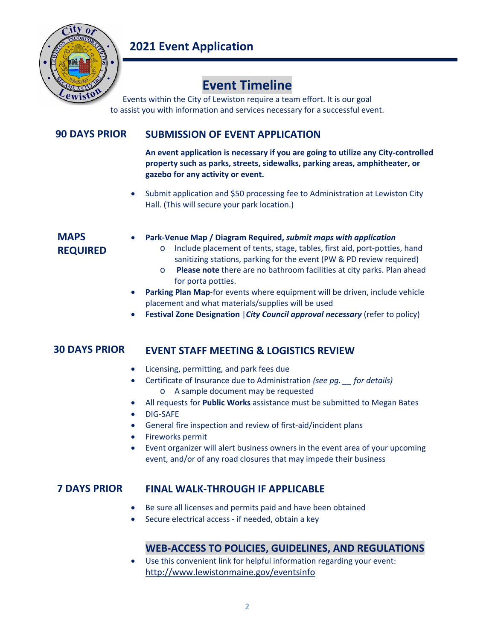

## **Event Timeline**

Events within the City of Lewiston require a team effort. It is our goal to assist you with information and services necessary for a successful event.

#### **SUBMISSION OF EVENT APPLICATION 90 DAYS PRIOR**

**An event application is necessary if you are going to utilize any City‐controlled property such as parks, streets, sidewalks, parking areas, amphitheater, or gazebo for any activity or event.** 

 Submit application and \$50 processing fee to Administration at Lewiston City Hall. (This will secure your park location.)

### **MAPS REQUIRED**

- **Park‐Venue Map / Diagram Required,** *submit maps with application*
	- o Include placement of tents, stage, tables, first aid, port‐potties, hand sanitizing stations, parking for the event (PW & PD review required)
	- o  **Please note** there are no bathroom facilities at city parks. Plan ahead for porta potties.
- **Parking Plan Map**-for events where equipment will be driven, include vehicle placement and what materials/supplies will be used
- **Festival Zone Designation** |*City Council approval necessary* (refer to policy)

#### **EVENT STAFF MEETING & LOGISTICS REVIEW 30 DAYS PRIOR**

- Licensing, permitting, and park fees due
- Certificate of Insurance due to Administration *(see pg. \_\_ for details)* o A sample document may be requested
- All requests for **Public Works** assistance must be submitted to Megan Bates
- **DIG-SAFE**
- General fire inspection and review of first-aid/incident plans
- Fireworks permit
- Event organizer will alert business owners in the event area of your upcoming event, and/or of any road closures that may impede their business

#### **FINAL WALK‐THROUGH IF APPLICABLE 7 DAYS PRIOR**

- Be sure all licenses and permits paid and have been obtained
- Secure electrical access ‐ if needed, obtain a key

### **WEB‐ACCESS TO POLICIES, GUIDELINES, AND REGULATIONS**

 Use this convenient link for helpful information regarding your event: http://www.lewistonmaine.gov/eventsinfo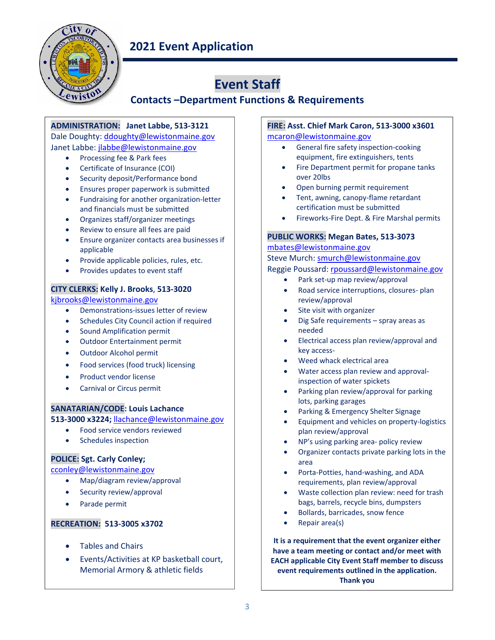

# **Event Staff**

### **Contacts –Department Functions & Requirements**

#### **ADMINISTRATION: Janet Labbe, 513‐3121**

Dale Doughty: ddoughty@lewistonmaine.gov Janet Labbe: jlabbe@lewistonmaine.gov

- Processing fee & Park fees
- Certificate of Insurance (COI)
- Security deposit/Performance bond
- **Ensures proper paperwork is submitted**
- Fundraising for another organization‐letter and financials must be submitted
- Organizes staff/organizer meetings
- Review to ensure all fees are paid
- Ensure organizer contacts area businesses if applicable
- Provide applicable policies, rules, etc.
- Provides updates to event staff

#### **CITY CLERKS: Kelly J. Brooks**, **513‐3020**

kjbrooks@lewistonmaine.gov

- Demonstrations‐issues letter of review
- Schedules City Council action if required
- Sound Amplification permit
- Outdoor Entertainment permit
- Outdoor Alcohol permit
- Food services (food truck) licensing
- Product vendor license
- Carnival or Circus permit

#### **SANATARIAN/CODE: Louis Lachance**

**513‐3000 x3224;** llachance@lewistonmaine.gov

- Food service vendors reviewed
- Schedules inspection

#### **POLICE: Sgt. Carly Conley;**

cconley@lewistonmaine.gov

- Map/diagram review/approval
- Security review/approval
- Parade permit

#### **RECREATION: 513‐3005 x3702**

- Tables and Chairs
- Events/Activities at KP basketball court, Memorial Armory & athletic fields

#### **FIRE: Asst. Chief Mark Caron, 513‐3000 x3601**  mcaron@lewistonmaine.gov

- General fire safety inspection-cooking equipment, fire extinguishers, tents
- Fire Department permit for propane tanks over 20lbs
- Open burning permit requirement
- Tent, awning, canopy‐flame retardant certification must be submitted
- Fireworks‐Fire Dept. & Fire Marshal permits

#### **PUBLIC WORKS: Megan Bates, 513‐3073**

#### mbates@lewistonmaine.gov

## Steve Murch: smurch@lewistonmaine.gov

### Reggie Poussard: rpoussard@lewistonmaine.gov

- Park set-up map review/approval
- Road service interruptions, closures‐ plan review/approval
- Site visit with organizer
- Dig Safe requirements spray areas as needed
- Electrical access plan review/approval and key access‐
- Weed whack electrical area
- Water access plan review and approvalinspection of water spickets
- Parking plan review/approval for parking lots, parking garages
- Parking & Emergency Shelter Signage
- Equipment and vehicles on property-logistics plan review/approval
- NP's using parking area‐ policy review
- Organizer contacts private parking lots in the area
- Porta-Potties, hand-washing, and ADA requirements, plan review/approval
- Waste collection plan review: need for trash bags, barrels, recycle bins, dumpsters
- Bollards, barricades, snow fence
- Repair area(s)

**It is a requirement that the event organizer either have a team meeting or contact and/or meet with EACH applicable City Event Staff member to discuss event requirements outlined in the application. Thank you**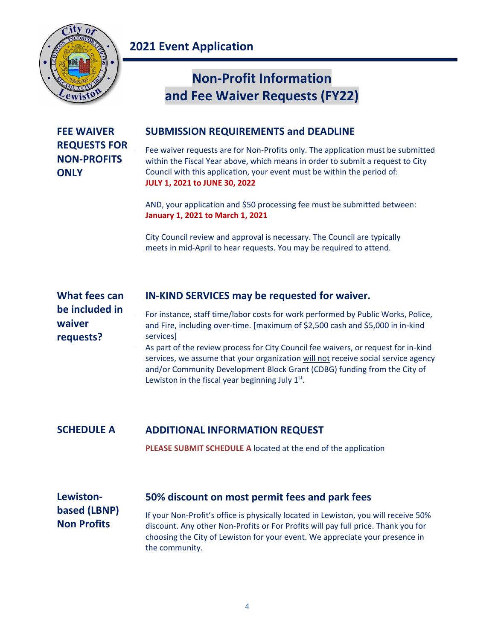

# **Non‐Profit Information and Fee Waiver Requests (FY22)**

| <b>FEE WAIVER</b>   |  |
|---------------------|--|
| <b>REQUESTS FOR</b> |  |
| <b>NON-PROFITS</b>  |  |
| <b>ONLY</b>         |  |

### **SUBMISSION REQUIREMENTS and DEADLINE**

Fee waiver requests are for Non-Profits only. The application must be submitted within the Fiscal Year above, which means in order to submit a request to City Council with this application, your event must be within the period of: **JULY 1, 2021 to JUNE 30, 2022**

AND, your application and \$50 processing fee must be submitted between: **January 1, 2021 to March 1, 2021** 

City Council review and approval is necessary. The Council are typically meets in mid‐April to hear requests. You may be required to attend.

| What fees can  | IN-KIND SERVICES may be requested for waiver.                                                                                                                                                                                                                                                             |
|----------------|-----------------------------------------------------------------------------------------------------------------------------------------------------------------------------------------------------------------------------------------------------------------------------------------------------------|
| be included in | For instance, staff time/labor costs for work performed by Public Works, Police,                                                                                                                                                                                                                          |
| waiver         | and Fire, including over-time. [maximum of \$2,500 cash and \$5,000 in in-kind                                                                                                                                                                                                                            |
| requests?      | services]                                                                                                                                                                                                                                                                                                 |
|                | As part of the review process for City Council fee waivers, or request for in-kind<br>services, we assume that your organization will not receive social service agency<br>and/or Community Development Block Grant (CDBG) funding from the City of<br>Lewiston in the fiscal year beginning July $1st$ . |

**ADDITIONAL INFORMATION REQUEST SCHEDULE A**

**PLEASE SUBMIT SCHEDULE A** located at the end of the application

| Lewiston-                          | 50% discount on most permit fees and park fees                                                                                                                                                                                                                             |
|------------------------------------|----------------------------------------------------------------------------------------------------------------------------------------------------------------------------------------------------------------------------------------------------------------------------|
| based (LBNP)<br><b>Non Profits</b> | If your Non-Profit's office is physically located in Lewiston, you will receive 50%<br>discount. Any other Non-Profits or For Profits will pay full price. Thank you for<br>choosing the City of Lewiston for your event. We appreciate your presence in<br>the community. |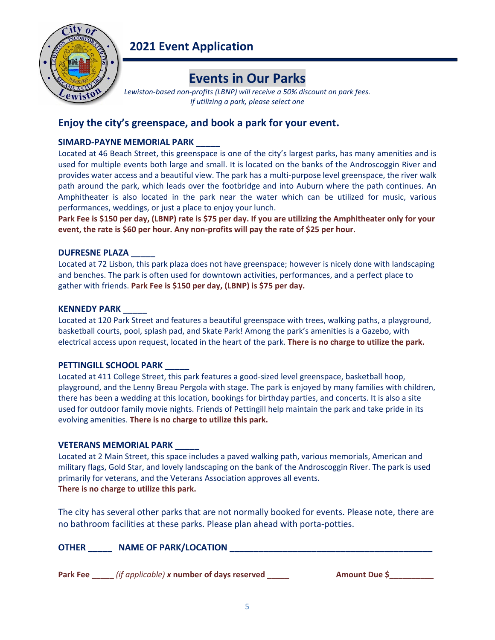

## **Events in Our Parks**

Lewiston-based non-profits (LBNP) will receive a 50% discount on park fees. *If utilizing a park, please select one* 

### Enjoy the city's greenspace, and book a park for your event.

### **SIMARD‐PAYNE MEMORIAL PARK \_\_\_\_\_**

Located at 46 Beach Street, this greenspace is one of the city's largest parks, has many amenities and is used for multiple events both large and small. It is located on the banks of the Androscoggin River and provides water access and a beautiful view. The park has a multi‐purpose level greenspace, the river walk path around the park, which leads over the footbridge and into Auburn where the path continues. An Amphitheater is also located in the park near the water which can be utilized for music, various performances, weddings, or just a place to enjoy your lunch.

**Park Fee is \$150 per day, (LBNP) rate is \$75 per day. If you are utilizing the Amphitheater only for your event, the rate is \$60 per hour. Any non‐profits will pay the rate of \$25 per hour.**

### **DUFRESNE PLAZA \_\_\_\_\_**

Located at 72 Lisbon, this park plaza does not have greenspace; however is nicely done with landscaping and benches. The park is often used for downtown activities, performances, and a perfect place to gather with friends. **Park Fee is \$150 per day, (LBNP) is \$75 per day.** 

### **KENNEDY PARK \_\_\_\_\_**

Located at 120 Park Street and features a beautiful greenspace with trees, walking paths, a playground, basketball courts, pool, splash pad, and Skate Park! Among the park's amenities is a Gazebo, with electrical access upon request, located in the heart of the park. **There is no charge to utilize the park.** 

### **PETTINGILL SCHOOL PARK \_\_\_\_\_**

Located at 411 College Street, this park features a good-sized level greenspace, basketball hoop, playground, and the Lenny Breau Pergola with stage. The park is enjoyed by many families with children, there has been a wedding at this location, bookings for birthday parties, and concerts. It is also a site used for outdoor family movie nights. Friends of Pettingill help maintain the park and take pride in its evolving amenities. **There is no charge to utilize this park.**

### **VETERANS MEMORIAL PARK \_\_\_\_\_**

Located at 2 Main Street, this space includes a paved walking path, various memorials, American and military flags, Gold Star, and lovely landscaping on the bank of the Androscoggin River. The park is used primarily for veterans, and the Veterans Association approves all events. **There is no charge to utilize this park.**

The city has several other parks that are not normally booked for events. Please note, there are no bathroom facilities at these parks. Please plan ahead with porta‐potties.

| <b>OTHER</b>    | <b>NAME OF PARK/LOCATION</b>              |               |
|-----------------|-------------------------------------------|---------------|
|                 |                                           |               |
| <b>Park Fee</b> | (if applicable) x number of days reserved | Amount Due \$ |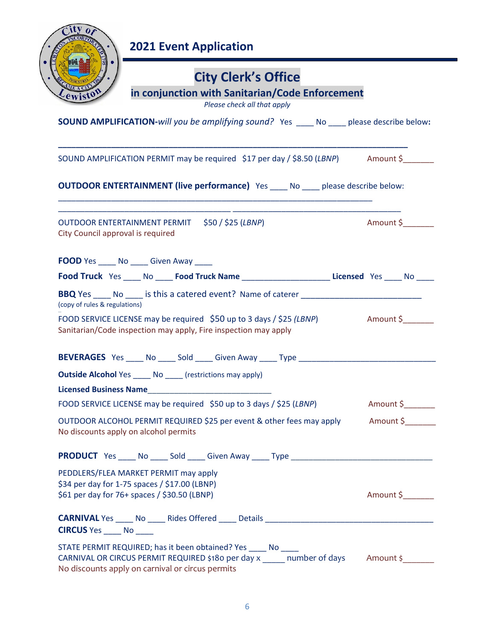

# **City Clerk's Office**

### **in conjunction with Sanitarian/Code Enforcement**

| Please check all that apply                                                                                                                                                                     |
|-------------------------------------------------------------------------------------------------------------------------------------------------------------------------------------------------|
| <b>SOUND AMPLIFICATION-will you be amplifying sound?</b> Yes ____ No ____ please describe below:                                                                                                |
| SOUND AMPLIFICATION PERMIT may be required \$17 per day / \$8.50 (LBNP) Amount \$                                                                                                               |
| <b>OUTDOOR ENTERTAINMENT (live performance)</b> Yes ____ No ____ please describe below:                                                                                                         |
| OUTDOOR ENTERTAINMENT PERMIT \$50 / \$25 (LBNP)<br>Amount \$<br>City Council approval is required                                                                                               |
| FOOD Yes ______ No ______ Given Away _____                                                                                                                                                      |
| Food Truck Yes ____ No ____ Food Truck Name ______________________Licensed Yes ____ No ____                                                                                                     |
| (copy of rules & regulations)                                                                                                                                                                   |
| FOOD SERVICE LICENSE may be required \$50 up to 3 days / \$25 (LBNP) Amount \$<br>Sanitarian/Code inspection may apply, Fire inspection may apply                                               |
| BEVERAGES Yes ____ No ____ Sold ____ Given Away ____ Type ______________________                                                                                                                |
| <b>Outside Alcohol Yes _____ No _____</b> (restrictions may apply)                                                                                                                              |
|                                                                                                                                                                                                 |
| FOOD SERVICE LICENSE may be required \$50 up to 3 days / \$25 (LBNP) Amount \$                                                                                                                  |
| OUTDOOR ALCOHOL PERMIT REQUIRED \$25 per event & other fees may apply Amount \$<br>No discounts apply on alcohol permits                                                                        |
| <b>PRODUCT</b> Yes _____ No _____ Sold _____ Given Away _____ Type ____________________                                                                                                         |
| PEDDLERS/FLEA MARKET PERMIT may apply<br>\$34 per day for 1-75 spaces / \$17.00 (LBNP)<br>Amount \$<br>\$61 per day for 76+ spaces / \$30.50 (LBNP)                                             |
| CIRCUS Yes _____ No _____                                                                                                                                                                       |
| STATE PERMIT REQUIRED; has it been obtained? Yes _____ No<br>CARNIVAL OR CIRCUS PERMIT REQUIRED \$180 per day x number of days<br>Amount \$<br>No discounts apply on carnival or circus permits |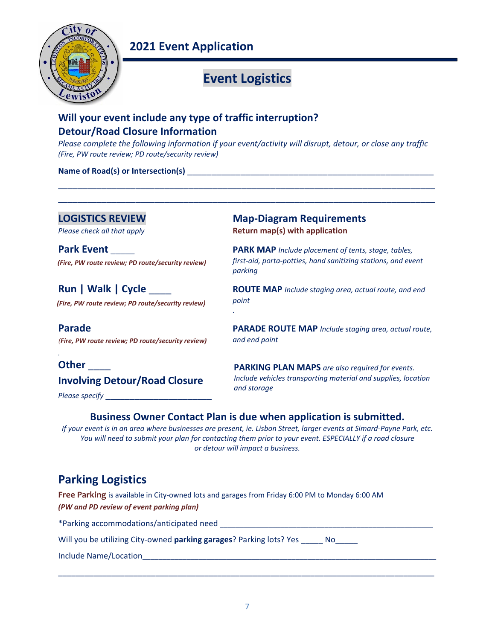

## **Event Logistics**

### **Will your event include any type of traffic interruption? Detour/Road Closure Information**

*Please complete the following information if your event/activity will disrupt, detour, or close any traffic (Fire, PW route review; PD route/security review)*

\_\_\_\_\_\_\_\_\_\_\_\_\_\_\_\_\_\_\_\_\_\_\_\_\_\_\_\_\_\_\_\_\_\_\_\_\_\_\_\_\_\_\_\_\_\_\_\_\_\_\_\_\_\_\_\_\_\_\_\_\_\_\_\_\_\_\_\_\_\_\_\_\_\_\_\_\_\_ \_\_\_\_\_\_\_\_\_\_\_\_\_\_\_\_\_\_\_\_\_\_\_\_\_\_\_\_\_\_\_\_\_\_\_\_\_\_\_\_\_\_\_\_\_\_\_\_\_\_\_\_\_\_\_\_\_\_\_\_\_\_\_\_\_\_\_\_\_\_\_\_\_\_\_\_\_\_

#### **Name of Road(s) or Intersection(s) and all of the set of**  $\mathbf{R}$  **and**  $\mathbf{S}$  **and**  $\mathbf{S}$  **and**  $\mathbf{S}$  **and**  $\mathbf{S}$  **and**  $\mathbf{S}$  **and**  $\mathbf{S}$  **and**  $\mathbf{S}$  **and**  $\mathbf{S}$  **and**  $\mathbf{S}$  **and**  $\mathbf{S}$  **and**  $\mathbf{S}$  **and**  $\mathbf{S}$

**LOGISTICS REVIEW Map‐Diagram Requirements**  *Please check all that apply*  **Return map(s) with application**

*(Fire, PW route review; PD route/security review)* 

*(Fire, PW route review; PD route/security review)* 

*(Fire, PW route review; PD route/security review)*

 $\mathbf{r} = \mathbf{r} \cdot \mathbf{r}$  , where  $\mathbf{r} = \mathbf{r} \cdot \mathbf{r}$  , where  $\mathbf{r} = \mathbf{r} \cdot \mathbf{r}$ **Other** \_\_\_\_ **Involving Detour/Road Closure** 

*Please specify* \_\_\_\_\_\_\_\_\_\_\_\_\_\_\_\_\_\_\_\_\_\_

**Park Event PARK MAP** *Include placement of tents, stage, tables,*  $\frac{1}{2}$ *first‐aid, porta‐potties, hand sanitizing stations, and event parking* 

**Run | Walk | Cycle** *ROUTE MAP Include staging area, actual route, and end* $\blacksquare$ *point*  $\mathbf{r} = \mathbf{r} \cdot \mathbf{r}$ 

**Parade Parade PARADE ROUTE MAP** *Include* staging area, actual route, *and end point* 

> **PARKING PLAN MAPS** *are also required for events. Include vehicles transporting material and supplies, location*  and storage

### Business Owner Contact Plan is due when application is submitted.

*If your event is in an area where businesses are present, ie. Lisbon Street, larger events at Simard‐Payne Park, etc. You will need to submit your plan for contacting them prior to your event. ESPECIALLY if a road closure or detour will impact a business.*

### **Parking Logistics**

**Free Parking** is available in City‐owned lots and garages from Friday 6:00 PM to Monday 6:00 AM *(PW and PD review of event parking plan)* 

\*Parking accommodations/anticipated need \_\_\_\_\_\_\_\_\_\_\_\_\_\_\_\_\_\_\_\_\_\_\_\_\_\_\_\_\_\_\_\_\_\_\_\_\_\_\_\_\_\_\_\_\_\_\_\_\_\_\_\_\_

Will you be utilizing City-owned **parking garages**? Parking lots? Yes \_\_\_\_\_ No

Include Name/Location\_\_\_\_\_\_\_\_\_\_\_\_\_\_\_\_\_\_\_\_\_\_\_\_\_\_\_\_\_\_\_\_\_\_\_\_\_\_\_\_\_\_\_\_\_\_\_\_\_\_\_\_\_\_\_\_\_\_\_\_\_\_\_\_\_\_\_\_\_\_\_\_\_

\_\_\_\_\_\_\_\_\_\_\_\_\_\_\_\_\_\_\_\_\_\_\_\_\_\_\_\_\_\_\_\_\_\_\_\_\_\_\_\_\_\_\_\_\_\_\_\_\_\_\_\_\_\_\_\_\_\_\_\_\_\_\_\_\_\_\_\_\_\_\_\_\_\_\_\_\_\_\_\_\_\_\_\_\_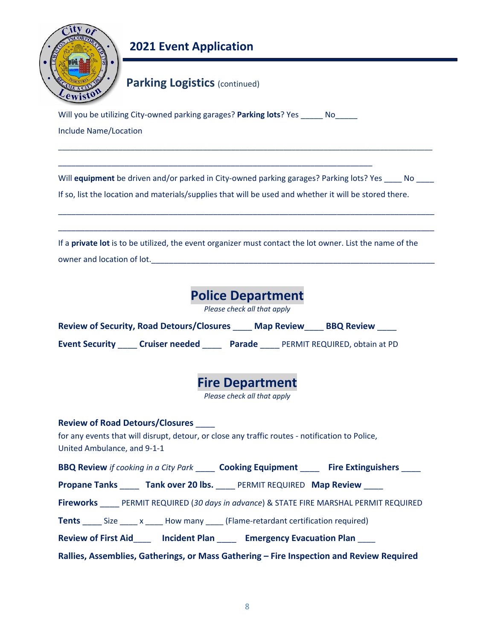

### **Parking Logistics (continued)**

Will you be utilizing City‐owned parking garages? **Parking lots**? Yes \_\_\_\_\_ No\_\_\_\_\_ Include Name/Location

\_\_\_\_\_\_\_\_\_\_\_\_\_\_\_\_\_\_\_\_\_\_\_\_\_\_\_\_\_\_\_\_\_\_\_\_\_\_\_\_\_\_\_\_\_\_\_\_\_\_\_\_\_\_\_\_\_\_\_\_\_\_\_\_\_\_\_\_\_\_\_

Will **equipment** be driven and/or parked in City-owned parking garages? Parking lots? Yes \_\_\_\_ No \_\_\_\_

\_\_\_\_\_\_\_\_\_\_\_\_\_\_\_\_\_\_\_\_\_\_\_\_\_\_\_\_\_\_\_\_\_\_\_\_\_\_\_\_\_\_\_\_\_\_\_\_\_\_\_\_\_\_\_\_\_\_\_\_\_\_\_\_\_\_\_\_\_\_\_\_\_\_\_\_\_\_\_\_\_\_\_\_\_

\_\_\_\_\_\_\_\_\_\_\_\_\_\_\_\_\_\_\_\_\_\_\_\_\_\_\_\_\_\_\_\_\_\_\_\_\_\_\_\_\_\_\_\_\_\_\_\_\_\_\_\_\_\_\_\_\_\_\_\_\_\_\_\_\_\_\_\_\_\_\_\_\_\_\_\_\_\_\_\_\_\_\_\_\_

\_\_\_\_\_\_\_\_\_\_\_\_\_\_\_\_\_\_\_\_\_\_\_\_\_\_\_\_\_\_\_\_\_\_\_\_\_\_\_\_\_\_\_\_\_\_\_\_\_\_\_\_\_\_\_\_\_\_\_\_\_\_\_\_\_\_\_\_\_\_\_\_\_\_\_\_\_\_\_\_\_\_\_\_\_\_\_\_\_\_\_\_\_

If so, list the location and materials/supplies that will be used and whether it will be stored there.

If a **private lot** is to be utilized, the event organizer must contact the lot owner. List the name of the owner and location of lot.

## **Police Department**

*Please check all that apply* 

| <b>Review of Security, Road Detours/Closures</b> | <b>Map Review</b> | <b>BBQ Review</b> |
|--------------------------------------------------|-------------------|-------------------|
|                                                  |                   |                   |

**Event Security** \_\_\_\_ **Cruiser needed** \_\_\_\_ **Parade** \_\_\_\_ PERMIT REQUIRED, obtain at PD



*Please check all that apply* 

# **Review of Road Detours/Closures** \_\_\_\_ for any events that will disrupt, detour, or close any traffic routes ‐ notification to Police, United Ambulance, and 9‐1‐1 **BBQ Review** *if cooking in a City Park* \_\_\_\_ **Cooking Equipment** \_\_\_\_ **Fire Extinguishers** \_\_\_\_

**Propane Tanks \_\_\_ Tank over 20 lbs.** \_\_ PERMIT REQUIRED **Map Review** 

**Fireworks** \_\_\_\_ PERMIT REQUIRED (*30 days in advance*) & STATE FIRE MARSHAL PERMIT REQUIRED

**Tents** Size x How many (Flame-retardant certification required)

**Review of First Aid**\_\_\_\_ **Incident Plan** \_\_\_\_  **Emergency Evacuation Plan** \_\_\_\_

**Rallies, Assemblies, Gatherings, or Mass Gathering – Fire Inspection and Review Required**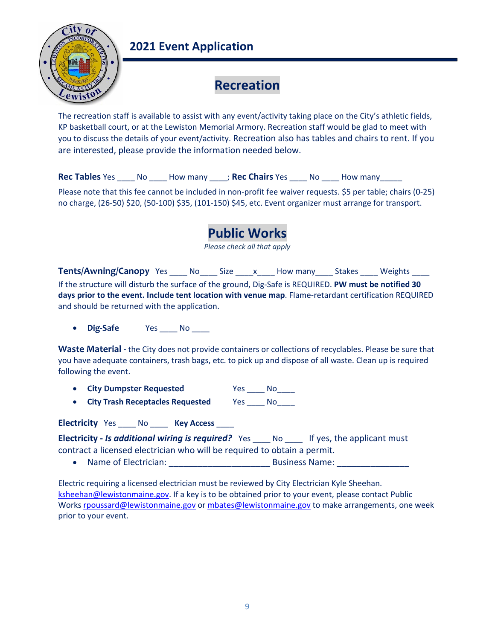

## **Recreation**

The recreation staff is available to assist with any event/activity taking place on the City's athletic fields, KP basketball court, or at the Lewiston Memorial Armory. Recreation staff would be glad to meet with you to discuss the details of your event/activity. Recreation also has tables and chairs to rent. If you are interested, please provide the information needed below.

**Rec Tables** Yes \_\_\_\_ No \_\_\_\_ How many \_\_\_\_; **Rec Chairs** Yes \_\_\_\_ No \_\_\_\_ How many\_\_\_\_\_

Please note that this fee cannot be included in non‐profit fee waiver requests. \$5 per table; chairs (0‐25) no charge, (26‐50) \$20, (50‐100) \$35, (101‐150) \$45, etc. Event organizer must arrange for transport.

## **Public Works**

*Please check all that apply* 

**Tents/Awning/Canopy** Yes \_\_\_\_ No\_\_\_\_ Size \_\_\_\_ x \_\_\_\_ How many \_\_\_\_ Stakes \_\_\_\_ Weights \_\_\_\_ If the structure will disturb the surface of the ground, Dig‐Safe is REQUIRED. **PW must be notified 30 days prior to the event. Include tent location with venue map**. Flame‐retardant certification REQUIRED and should be returned with the application.

**Dig-Safe Yes \_\_\_\_ No \_\_\_\_** 

**Waste Material ‐** the City does not provide containers or collections of recyclables. Please be sure that you have adequate containers, trash bags, etc. to pick up and dispose of all waste. Clean up is required following the event.

- **City Dumpster Requested**  Yes \_\_\_\_ No\_\_\_\_
- **City Trash Receptacles Requested** Yes No

Electricity Yes \_\_\_\_ No \_\_\_\_ Key Access \_\_\_\_

**Electricity -** *Is additional wiring is required?* Yes \_\_\_\_ No \_\_\_\_ If yes, the applicant must contract a licensed electrician who will be required to obtain a permit.

Name of Electrician: \_\_\_\_\_\_\_\_\_\_\_\_\_\_\_\_\_\_\_\_\_ Business Name: \_\_\_\_\_\_\_\_\_\_\_\_\_\_\_

Electric requiring a licensed electrician must be reviewed by City Electrician Kyle Sheehan. ksheehan@lewistonmaine.gov. If a key is to be obtained prior to your event, please contact Public Works rpoussard@lewistonmaine.gov or mbates@lewistonmaine.gov to make arrangements, one week prior to your event.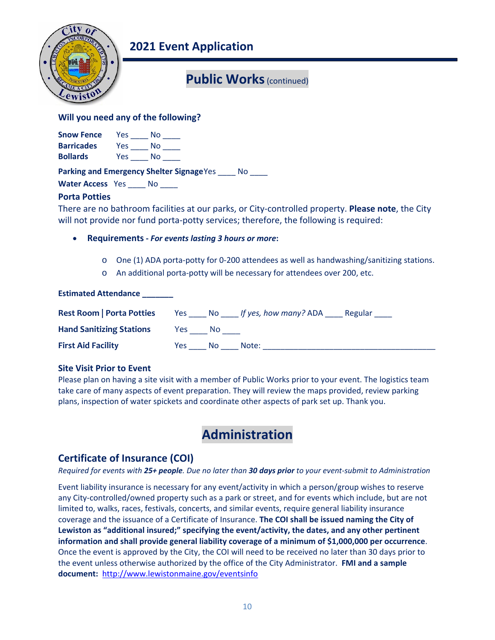

## **Public Works** (continued)

### **Will you need any of the following?**

| <b>Snow Fence</b> | Yes | Nο |  |
|-------------------|-----|----|--|
| <b>Barricades</b> | Yes | Nο |  |
| <b>Bollards</b>   | Yes | No |  |

Parking and Emergency Shelter Signage Yes \_\_\_\_ No \_\_\_\_

Water Access Yes No

### **Porta Potties**

There are no bathroom facilities at our parks, or City‐controlled property. **Please note**, the City will not provide nor fund porta-potty services; therefore, the following is required:

- **Requirements ‐** *For events lasting 3 hours or more***:**
	- o One (1) ADA porta‐potty for 0‐200 attendees as well as handwashing/sanitizing stations.
	- o An additional porta‐potty will be necessary for attendees over 200, etc.

### **Estimated Attendance \_\_\_\_\_\_\_**

| <b>Rest Room   Porta Potties</b> |      |     | Yes No If yes, how many? ADA | Regular |
|----------------------------------|------|-----|------------------------------|---------|
| <b>Hand Sanitizing Stations</b>  | Yes: | No. |                              |         |
| <b>First Aid Facility</b>        | Yes: | No. | Note:                        |         |

### **Site Visit Prior to Event**

Please plan on having a site visit with a member of Public Works prior to your event. The logistics team take care of many aspects of event preparation. They will review the maps provided, review parking plans, inspection of water spickets and coordinate other aspects of park set up. Thank you.

## **Administration**

### Certificate of Insurance (COI)

*Required for events with 25+ people. Due no later than 30 days prior to your event‐submit to Administration*

Event liability insurance is necessary for any event/activity in which a person/group wishes to reserve any City‐controlled/owned property such as a park or street, and for events which include, but are not limited to, walks, races, festivals, concerts, and similar events, require general liability insurance coverage and the issuance of a Certificate of Insurance. **The COI shall be issued naming the City of Lewiston as "additional insured;" specifying the event/activity, the dates, and any other pertinent information and shall provide general liability coverage of a minimum of \$1,000,000 per occurrence**. Once the event is approved by the City, the COI will need to be received no later than 30 days prior to the event unless otherwise authorized by the office of the City Administrator. **FMI and a sample document:**  http://www.lewistonmaine.gov/eventsinfo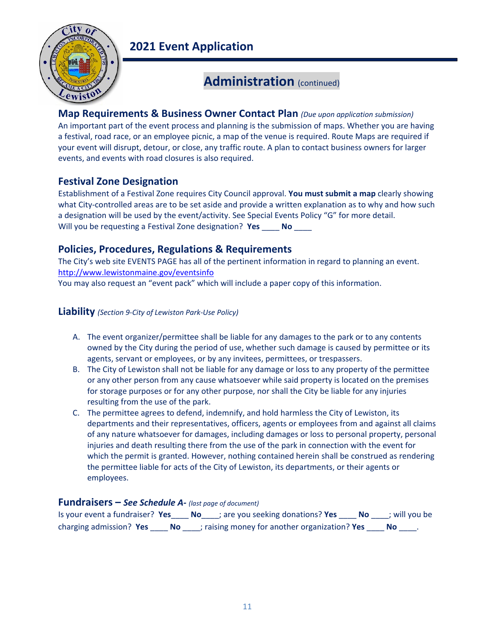

## **Administration** (continued)

### **Map Requirements & Business Owner Contact Plan** *(Due upon application submission)*

An important part of the event process and planning is the submission of maps. Whether you are having a festival, road race, or an employee picnic, a map of the venue is required. Route Maps are required if your event will disrupt, detour, or close, any traffic route. A plan to contact business owners for larger events, and events with road closures is also required.

### **Festival Zone Designation**

Establishment of a Festival Zone requires City Council approval. **You must submit a map** clearly showing what City-controlled areas are to be set aside and provide a written explanation as to why and how such a designation will be used by the event/activity. See Special Events Policy "G" for more detail. Will you be requesting a Festival Zone designation? **Yes** \_\_\_\_ **No** \_\_\_\_

### Policies, Procedures, Regulations & Requirements

The City's web site EVENTS PAGE has all of the pertinent information in regard to planning an event. http://www.lewistonmaine.gov/eventsinfo You may also request an "event pack" which will include a paper copy of this information.

### **Liability** *(Section 9‐City of Lewiston Park‐Use Policy)*

- A. The event organizer/permittee shall be liable for any damages to the park or to any contents owned by the City during the period of use, whether such damage is caused by permittee or its agents, servant or employees, or by any invitees, permittees, or trespassers.
- B. The City of Lewiston shall not be liable for any damage or loss to any property of the permittee or any other person from any cause whatsoever while said property is located on the premises for storage purposes or for any other purpose, nor shall the City be liable for any injuries resulting from the use of the park.
- C. The permittee agrees to defend, indemnify, and hold harmless the City of Lewiston, its departments and their representatives, officers, agents or employees from and against all claims of any nature whatsoever for damages, including damages or loss to personal property, personal injuries and death resulting there from the use of the park in connection with the event for which the permit is granted. However, nothing contained herein shall be construed as rendering the permittee liable for acts of the City of Lewiston, its departments, or their agents or employees.

### **Fundraisers –** *See Schedule A‐ (last page of document)*

Is your event a fundraiser? **Yes**\_\_\_\_ **No**\_\_\_\_; are you seeking donations? **Yes** \_\_\_\_ **No** \_\_\_\_; will you be charging admission? **Yes** \_\_\_\_ **No** \_\_\_\_; raising money for another organization? **Yes** \_\_\_\_ **No** \_\_\_\_.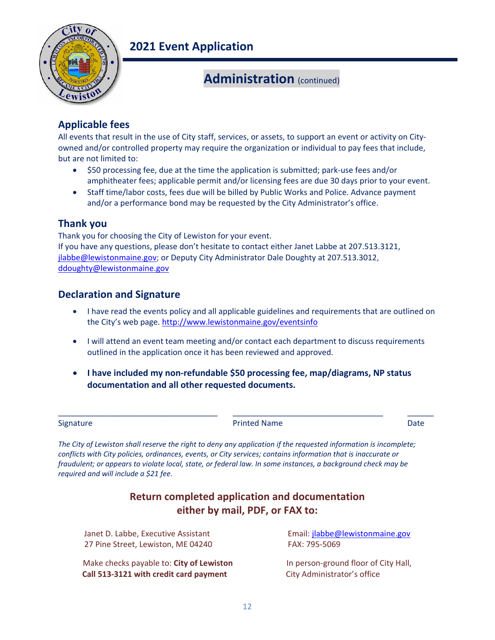

## **Administration** (continued)

### **Applicable fees**

All events that result in the use of City staff, services, or assets, to support an event or activity on City‐ owned and/or controlled property may require the organization or individual to pay fees that include, but are not limited to:

- \$50 processing fee, due at the time the application is submitted; park-use fees and/or amphitheater fees; applicable permit and/or licensing fees are due 30 days prior to your event.
- Staff time/labor costs, fees due will be billed by Public Works and Police. Advance payment and/or a performance bond may be requested by the City Administrator's office.

### **Thank you**

Thank you for choosing the City of Lewiston for your event. If you have any questions, please don't hesitate to contact either Janet Labbe at 207.513.3121, jlabbe@lewistonmaine.gov; or Deputy City Administrator Dale Doughty at 207.513.3012, ddoughty@lewistonmaine.gov

### **Declaration and Signature**

- I have read the events policy and all applicable guidelines and requirements that are outlined on the City's web page. http://www.lewistonmaine.gov/eventsinfo
- I will attend an event team meeting and/or contact each department to discuss requirements outlined in the application once it has been reviewed and approved.
- **I have included my non‐refundable \$50 processing fee, map/diagrams, NP status documentation and all other requested documents.**

\_\_\_\_\_\_\_\_\_\_\_\_\_\_\_\_\_\_\_\_\_\_\_\_\_\_\_\_\_\_\_\_\_\_\_\_ \_\_\_\_\_\_\_\_\_\_\_\_\_\_\_\_\_\_\_\_\_\_\_\_\_\_\_\_\_\_\_\_\_\_ \_\_\_\_\_\_

| Signature |  |
|-----------|--|
|-----------|--|

Printed Name **Date** 

*The City of Lewiston shall reserve the right to deny any application if the requested information is incomplete; conflicts with City policies, ordinances, events, or City services; contains information that is inaccurate or fraudulent; or appears to violate local, state, or federal law. In some instances, a background check may be required and will include a \$21 fee.* 

### **Return completed application and documentation either by mail, PDF, or FAX to:**

Janet D. Labbe, Executive Assistant Email: jlabbe@lewistonmaine.gov 27 Pine Street, Lewiston, ME 04240 FAX: 795‐5069

Make checks payable to: **City of Lewiston In person-ground floor of City Hall, Call 513‐3121 with credit card payment** City Administrator's office